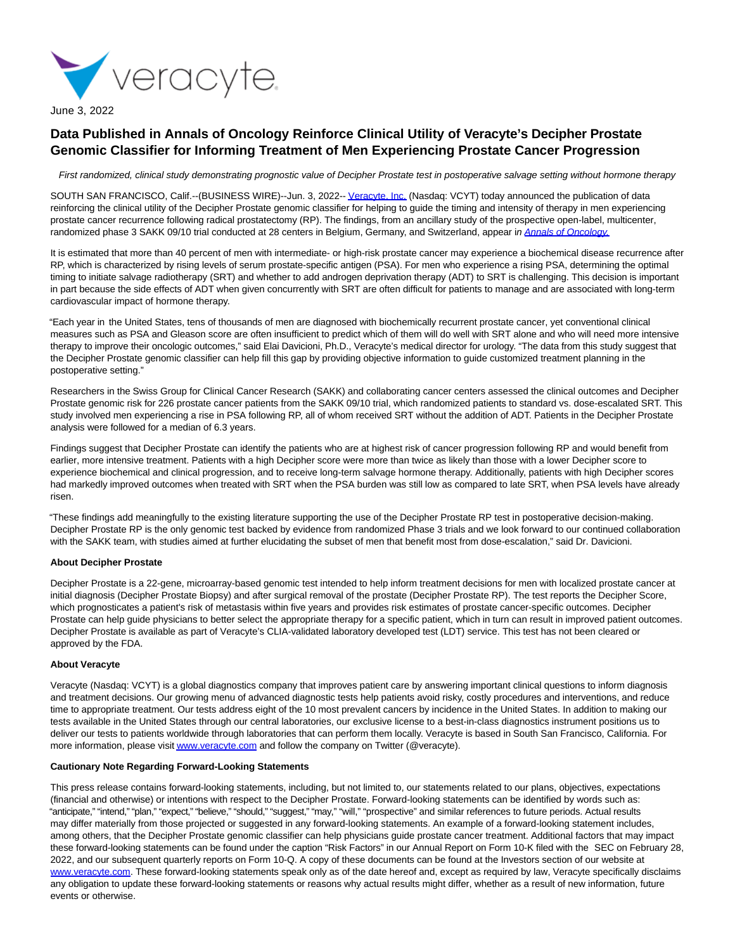

June 3, 2022

# **Data Published in Annals of Oncology Reinforce Clinical Utility of Veracyte's Decipher Prostate Genomic Classifier for Informing Treatment of Men Experiencing Prostate Cancer Progression**

First randomized, clinical study demonstrating prognostic value of Decipher Prostate test in postoperative salvage setting without hormone therapy

SOUTH SAN FRANCISCO, Calif.--(BUSINESS WIRE)--Jun. 3, 2022-[- Veracyte, Inc. \(](https://cts.businesswire.com/ct/CT?id=smartlink&url=http%3A%2F%2Fwww.veracyte.com%2F&esheet=52738423&newsitemid=20220603005121&lan=en-US&anchor=Veracyte%2C+Inc.&index=1&md5=b5f7f1825e002fb08084f8efad740d80)Nasdaq: VCYT) today announced the publication of data reinforcing the clinical utility of the Decipher Prostate genomic classifier for helping to guide the timing and intensity of therapy in men experiencing prostate cancer recurrence following radical prostatectomy (RP). The findings, from an ancillary study of the prospective open-label, multicenter, randomized phase 3 SAKK 09/10 trial conducted at 28 centers in Belgium, Germany, and Switzerland, appear in [Annals of Oncology.](https://cts.businesswire.com/ct/CT?id=smartlink&url=https%3A%2F%2Fwww.sciencedirect.com%2Fscience%2Farticle%2Fpii%2FS0923753422012054&esheet=52738423&newsitemid=20220603005121&lan=en-US&anchor=Annals+of+Oncology.&index=2&md5=f1a4410e75e4cb567f7f1043e7f6d749)

It is estimated that more than 40 percent of men with intermediate- or high-risk prostate cancer may experience a biochemical disease recurrence after RP, which is characterized by rising levels of serum prostate-specific antigen (PSA). For men who experience a rising PSA, determining the optimal timing to initiate salvage radiotherapy (SRT) and whether to add androgen deprivation therapy (ADT) to SRT is challenging. This decision is important in part because the side effects of ADT when given concurrently with SRT are often difficult for patients to manage and are associated with long-term cardiovascular impact of hormone therapy.

"Each year in the United States, tens of thousands of men are diagnosed with biochemically recurrent prostate cancer, yet conventional clinical measures such as PSA and Gleason score are often insufficient to predict which of them will do well with SRT alone and who will need more intensive therapy to improve their oncologic outcomes," said Elai Davicioni, Ph.D., Veracyte's medical director for urology. "The data from this study suggest that the Decipher Prostate genomic classifier can help fill this gap by providing objective information to guide customized treatment planning in the postoperative setting."

Researchers in the Swiss Group for Clinical Cancer Research (SAKK) and collaborating cancer centers assessed the clinical outcomes and Decipher Prostate genomic risk for 226 prostate cancer patients from the SAKK 09/10 trial, which randomized patients to standard vs. dose-escalated SRT. This study involved men experiencing a rise in PSA following RP, all of whom received SRT without the addition of ADT. Patients in the Decipher Prostate analysis were followed for a median of 6.3 years.

Findings suggest that Decipher Prostate can identify the patients who are at highest risk of cancer progression following RP and would benefit from earlier, more intensive treatment. Patients with a high Decipher score were more than twice as likely than those with a lower Decipher score to experience biochemical and clinical progression, and to receive long-term salvage hormone therapy. Additionally, patients with high Decipher scores had markedly improved outcomes when treated with SRT when the PSA burden was still low as compared to late SRT, when PSA levels have already risen.

"These findings add meaningfully to the existing literature supporting the use of the Decipher Prostate RP test in postoperative decision-making. Decipher Prostate RP is the only genomic test backed by evidence from randomized Phase 3 trials and we look forward to our continued collaboration with the SAKK team, with studies aimed at further elucidating the subset of men that benefit most from dose-escalation," said Dr. Davicioni.

### **About Decipher Prostate**

Decipher Prostate is a 22-gene, microarray-based genomic test intended to help inform treatment decisions for men with localized prostate cancer at initial diagnosis (Decipher Prostate Biopsy) and after surgical removal of the prostate (Decipher Prostate RP). The test reports the Decipher Score, which prognosticates a patient's risk of metastasis within five years and provides risk estimates of prostate cancer-specific outcomes. Decipher Prostate can help guide physicians to better select the appropriate therapy for a specific patient, which in turn can result in improved patient outcomes. Decipher Prostate is available as part of Veracyte's CLIA-validated laboratory developed test (LDT) service. This test has not been cleared or approved by the FDA.

#### **About Veracyte**

Veracyte (Nasdaq: VCYT) is a global diagnostics company that improves patient care by answering important clinical questions to inform diagnosis and treatment decisions. Our growing menu of advanced diagnostic tests help patients avoid risky, costly procedures and interventions, and reduce time to appropriate treatment. Our tests address eight of the 10 most prevalent cancers by incidence in the United States. In addition to making our tests available in the United States through our central laboratories, our exclusive license to a best-in-class diagnostics instrument positions us to deliver our tests to patients worldwide through laboratories that can perform them locally. Veracyte is based in South San Francisco, California. For more information, please visi[t www.veracyte.com a](https://cts.businesswire.com/ct/CT?id=smartlink&url=http%3A%2F%2Fwww.veracyte.com&esheet=52738423&newsitemid=20220603005121&lan=en-US&anchor=www.veracyte.com&index=3&md5=8979c0d8eeac7f960dc4ad36ecab449a)nd follow the company on Twitter (@veracyte).

#### **Cautionary Note Regarding Forward-Looking Statements**

This press release contains forward-looking statements, including, but not limited to, our statements related to our plans, objectives, expectations (financial and otherwise) or intentions with respect to the Decipher Prostate. Forward-looking statements can be identified by words such as: "anticipate," "intend," "plan," "expect," "believe," "should," "suggest," "may," "will," "prospective" and similar references to future periods. Actual results may differ materially from those projected or suggested in any forward-looking statements. An example of a forward-looking statement includes, among others, that the Decipher Prostate genomic classifier can help physicians guide prostate cancer treatment. Additional factors that may impact these forward-looking statements can be found under the caption "Risk Factors" in our Annual Report on Form 10-K filed with the SEC on February 28, 2022, and our subsequent quarterly reports on Form 10-Q. A copy of these documents can be found at the Investors section of our website at [www.veracyte.com.](https://cts.businesswire.com/ct/CT?id=smartlink&url=http%3A%2F%2Fwww.veracyte.com&esheet=52738423&newsitemid=20220603005121&lan=en-US&anchor=www.veracyte.com&index=4&md5=35036c932f0a04d673d0e454fe547b82) These forward-looking statements speak only as of the date hereof and, except as required by law, Veracyte specifically disclaims any obligation to update these forward-looking statements or reasons why actual results might differ, whether as a result of new information, future events or otherwise.